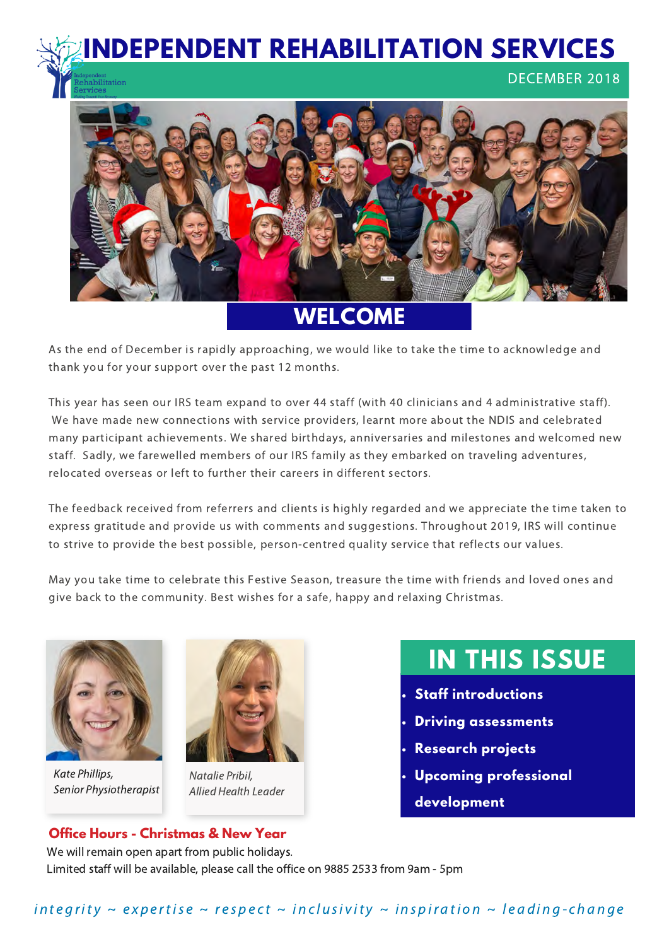**INDEPENDENT REHABILITATION SERVICES**  DECEMBER 2018 pilitation



**WELCOME**

As the end of December is rapidly approaching, we would like to take the time to acknowledge and thank you for your support over the past 12 months.

This year has seen our IRS team expand to over 44 staff (with 40 clinicians and 4 administrative staff). We have made new connections with service providers, learnt more about the NDIS and celebrated many participant achievements. We shared birthdays, anniversaries and milestones and welcomed new staff. Sadly, we farewelled members of our IRS family as they embarked on traveling adventures, relocated overseas or left to further their careers in different sectors.

The feedback received from referrers and clients is highly regarded and we appreciate the time taken to express gratitude and provide us with comments and suggestions. Throughout 2019, IRS will continue to strive to provide the best possible, person-centred quality service that reflects our values.

May you take time to celebrate this Festive Season, treasure the time with friends and loved ones and give back to the community. Best wishes for a safe, happy and relaxing Christmas.



Kate Phillips, Senior Physiotherapist



Natalie Pribil, Allied Health Leader

# **IN THIS ISSUE**

- **Staff introductions**
- **Driving assessments**
- **Research projects**
- **Upcoming professional development**

#### **Office Hours - Christmas & New Year**

We will remain open apart from public holidays. Limited staff will be available, please call the office on 9885 2533 from 9am - 5pm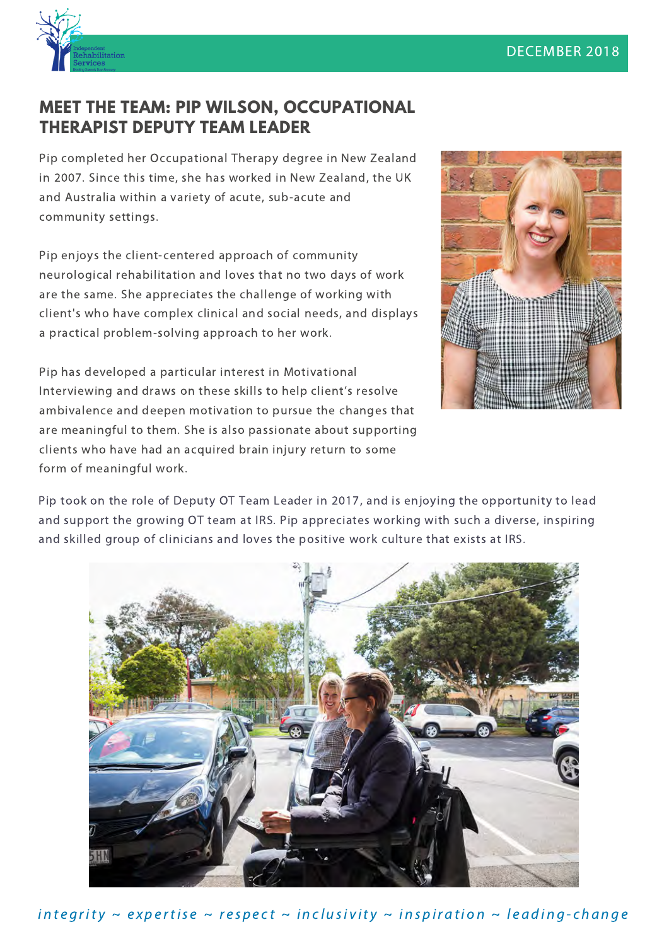

#### **MEET THE TEAM: PIP WILSON, OCCUPATIONAL THERAPIST DEPUTY TEAM LEADER**

Pip completed her Occupational Therapy degree in New Zealand in 2007. Since this time, she has worked in New Zealand, the UK and Australia within a variety of acute, sub-acute and community settings.

Pip enjoys the client-centered approach of community neurological rehabilitation and loves that no two days of work are the same. She appreciates the challenge of working with client's who have complex clinical and social needs, and displays a practical problem-solving approach to her work.



Pip has developed a particular interest in Motivational Interviewing and draws on these skills to help client's resolve ambivalence and deepen motivation to pursue the changes that are meaningful to them. She is also passionate about supporting clients who have had an acquired brain injury return to some form of meaningful work.

Pip took on the role of Deputy OT Team Leader in 2017, and is enjoying the opportunity to lead and support the growing OT team at IRS. Pip appreciates working with such a diverse, inspiring and skilled group of clinicians and loves the positive work culture that exists at IRS.



in t e grity  $\sim$  expertise  $\sim$  respect  $\sim$  inclusivity  $\sim$  inspiration  $\sim$  leading-change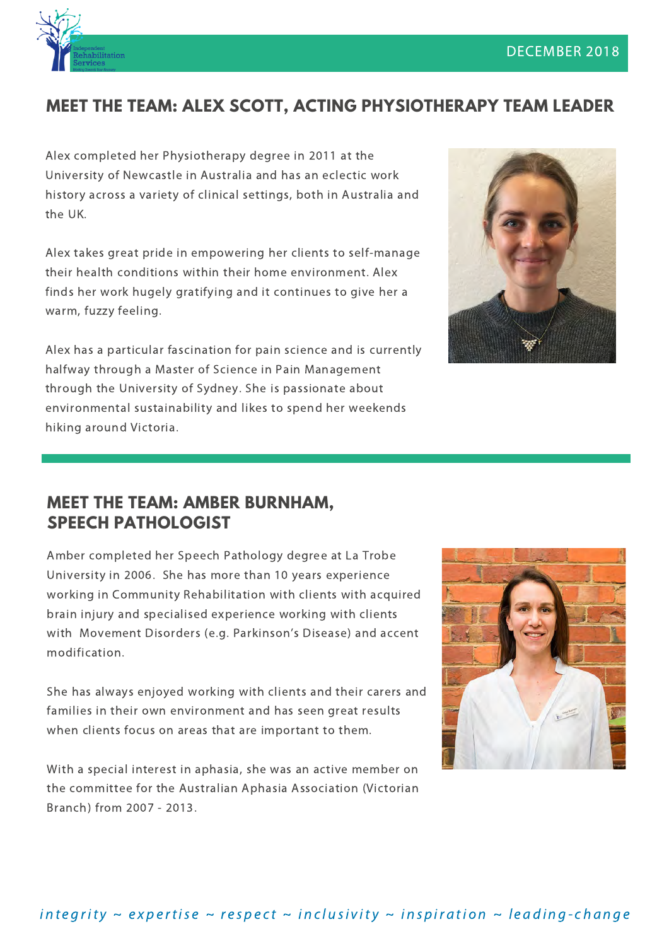

## **MEET THE TEAM: ALEX SCOTT, ACTING PHYSIOTHERAPY TEAM LEADER**

Alex completed her Physiotherapy degree in 2011 at the University of Newcastle in Australia and has an eclectic work history across a variety of clinical settings, both in Australia and the UK.

Alex takes great pride in empowering her clients to self-manage their health conditions within their home environment. Alex finds her work hugely gratifying and it continues to give her a warm, fuzzy feeling.

Alex has a particular fascination for pain science and is currently halfway through a Master of Science in Pain Management through the University of Sydney. She is passionate about environmental sustainability and likes to spend her weekends hiking around Victoria.



#### **MEET THE TEAM: AMBER BURNHAM, SPEECH PATHOLOGIST**

Amber completed her Speech Pathology degree at La Trobe University in 2006. She has more than 10 years experience working in Community Rehabilitation with clients with acquired brain injury and specialised experience working with clients with Movement Disorders (e.g. Parkinson's Disease) and accent modification.

She has always enjoyed working with clients and their carers and families in their own environment and has seen great results when clients focus on areas that are important to them.

With a special interest in aphasia, she was an active member on the committee for the Australian Aphasia Association (Victorian Branch) from 2007 - 2013.

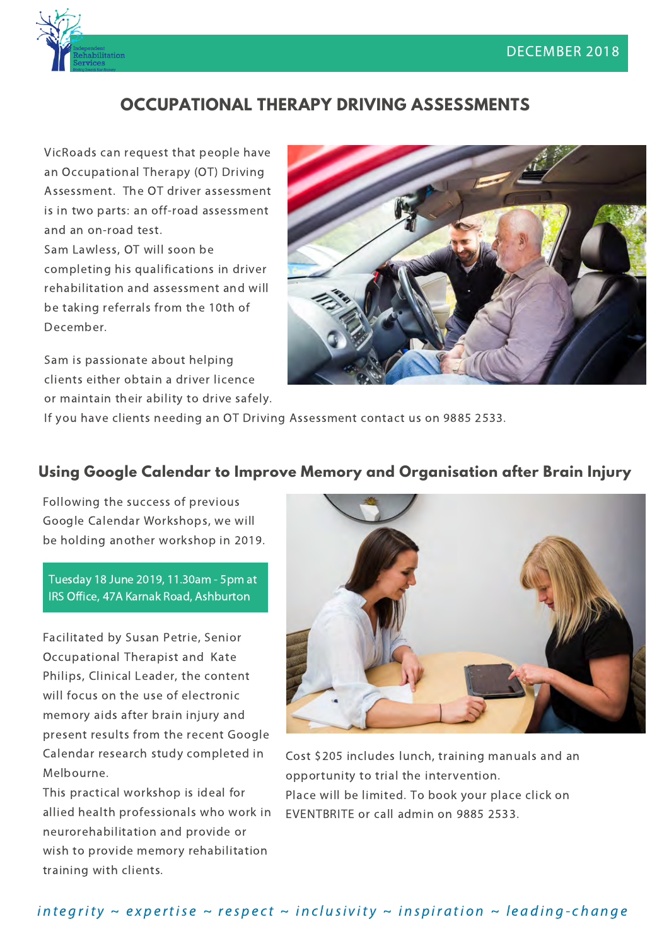

## **OCCUPATIONAL THERAPY DRIVING ASSESSMENTS**

VicRoads can request that people have an Occupational Therapy (OT) Driving Assessment. The OT driver assessment is in two parts: an off-road assessment and an on-road test. Sam Lawless, OT will soon be completing his qualifications in driver rehabilitation and assessment and will be taking referrals from the 10th of December.

Sam is passionate about helping clients either obtain a driver licence or maintain their ability to drive safely.



If you have clients needing an OT Driving Assessment contact us on 9885 2533.

#### **Using Google Calendar to Improve Memory and Organisation after Brain Injury**

Following the success of previous Google Calendar Workshops, we will be holding another workshop in 2019.

Tuesday 18 June 2019, 11.30am - 5pm at IRS Office, 47A Karnak Road, Ashburton

Facilitated by Susan Petrie, Senior Occupational Therapist and Kate Philips, Clinical Leader, the content will focus on the use of electronic memory aids after brain injury and present results from the recent Google Calendar research study completed in Melbourne.

This practical workshop is ideal for allied health professionals who work in neurorehabilitation and provide or wish to provide memory rehabilitation training with clients.



Cost \$205 includes lunch, training manuals and an opportunity to trial the intervention. [Place will be limited. To book your place click on](https://www.eventbrite.com.au/e/using-google-calendar-to-improve-memory-and-organisation-after-brain-injury-tickets-52854839247)  EVENTBRITE or call admin on 9885 2533.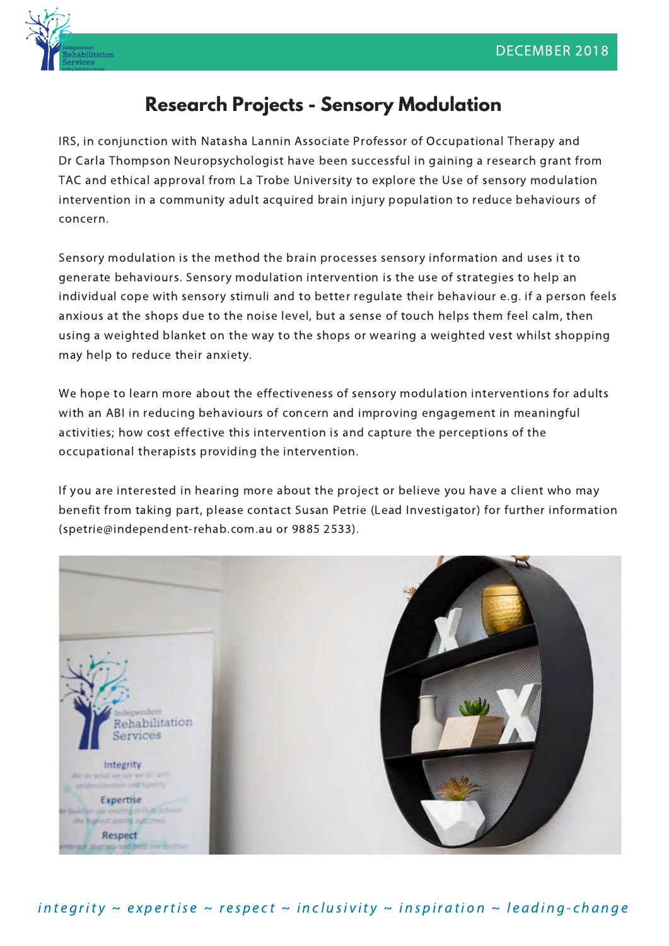

# **Research Projects - Sensory Modulation**

IRS, in conjunction with Natasha Lannin Associate Professor of Occupational Therapy and Dr Carla Thompson Neuropsychologist have been successful in gaining a research grant from TAC and ethical approval from La Trobe University to explore the Use of sensory modulation intervention in a community adult acquired brain injury population to reduce behaviours of concern.

Sensory modulation is the method the brain processes sensory information and uses it to generate behaviours. Sensory modulation intervention is the use of strategies to help an individual cope with sensory stimuli and to better regulate their behaviour e.g. if a person feels anxious at the shops due to the noise level, but a sense of touch helps them feel calm, then using a weighted blanket on the way to the shops or wearing a weighted vest whilst shopping may help to reduce their anxiety.

We hope to learn more about the effectiveness of sensory modulation interventions for adults with an ABI in reducing behaviours of concern and improving engagement in meaningful activities; how cost effective this intervention is and capture the perceptions of the occupational therapists providing the intervention.

If you are interested in hearing more about the project or believe you have a client who may benefit from taking part, please contact Susan Petrie (Lead Investigator) for further information (spetrie@independent-rehab.com.au or 9885 2533).



in t e grity  $\sim$  expertise  $\sim$  respect  $\sim$  inclusivity  $\sim$  inspiration  $\sim$  leading-change